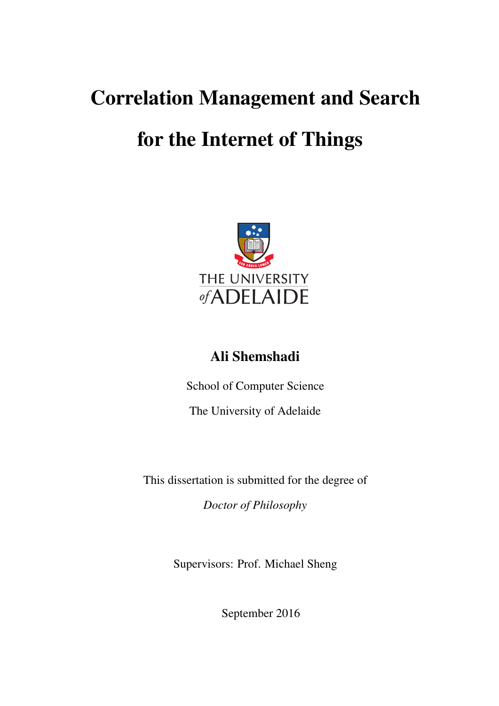## Correlation Management and Search

### for the Internet of Things



#### Ali Shemshadi

School of Computer Science

The University of Adelaide

This dissertation is submitted for the degree of

*Doctor of Philosophy*

Supervisors: Prof. Michael Sheng

September 2016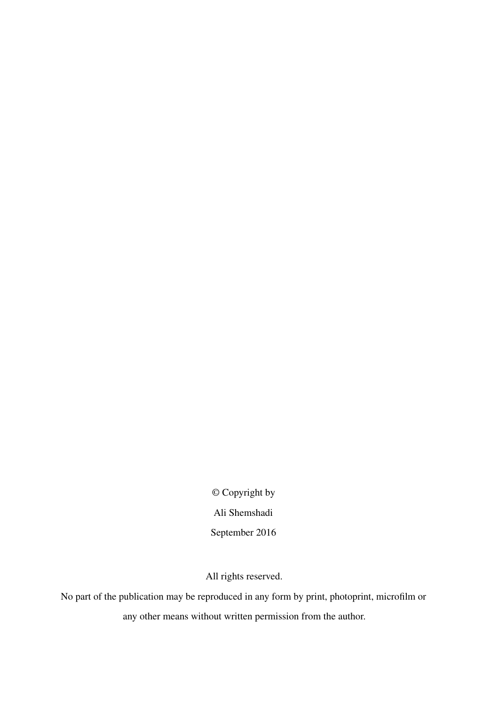© Copyright by Ali Shemshadi September 2016

All rights reserved.

No part of the publication may be reproduced in any form by print, photoprint, microfilm or any other means without written permission from the author.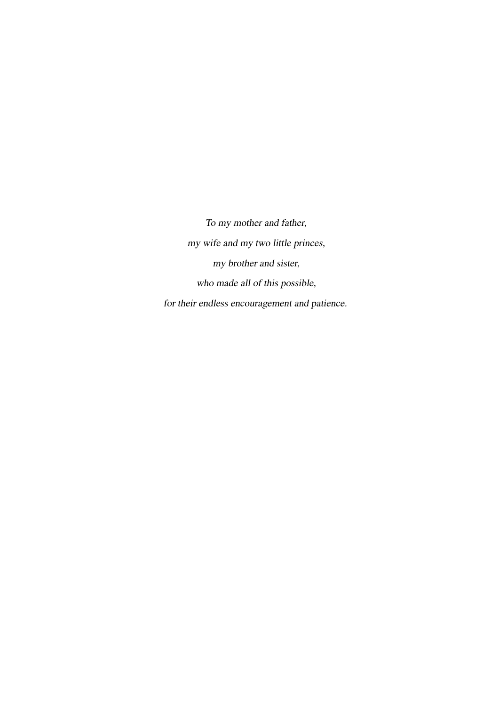To my mother and father, my wife and my two little princes, my brother and sister, who made all of this possible, for their endless encouragement and patience.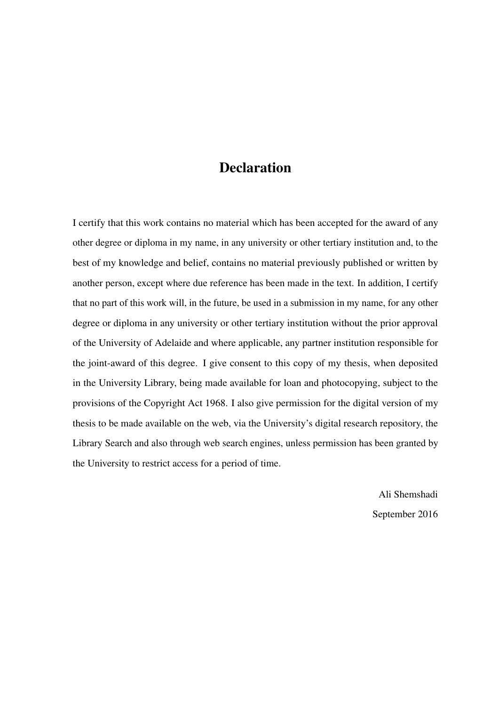#### **Declaration**

I certify that this work contains no material which has been accepted for the award of any other degree or diploma in my name, in any university or other tertiary institution and, to the best of my knowledge and belief, contains no material previously published or written by another person, except where due reference has been made in the text. In addition, I certify that no part of this work will, in the future, be used in a submission in my name, for any other degree or diploma in any university or other tertiary institution without the prior approval of the University of Adelaide and where applicable, any partner institution responsible for the joint-award of this degree. I give consent to this copy of my thesis, when deposited in the University Library, being made available for loan and photocopying, subject to the provisions of the Copyright Act 1968. I also give permission for the digital version of my thesis to be made available on the web, via the University's digital research repository, the Library Search and also through web search engines, unless permission has been granted by the University to restrict access for a period of time.

> Ali Shemshadi September 2016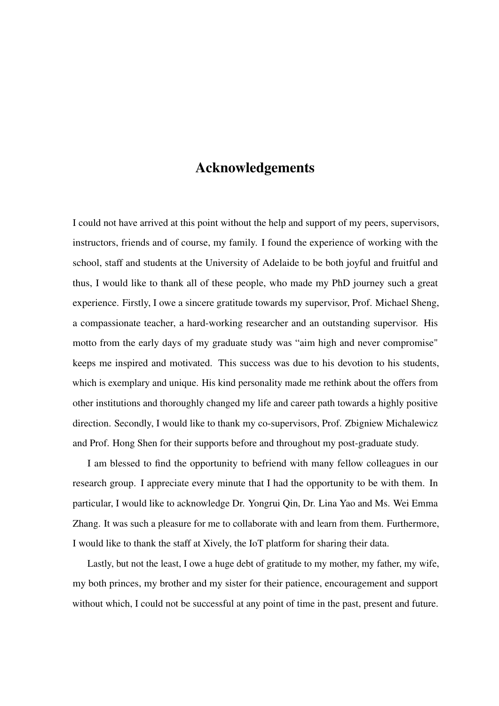#### Acknowledgements

I could not have arrived at this point without the help and support of my peers, supervisors, instructors, friends and of course, my family. I found the experience of working with the school, staff and students at the University of Adelaide to be both joyful and fruitful and thus, I would like to thank all of these people, who made my PhD journey such a great experience. Firstly, I owe a sincere gratitude towards my supervisor, Prof. Michael Sheng, a compassionate teacher, a hard-working researcher and an outstanding supervisor. His motto from the early days of my graduate study was "aim high and never compromise" keeps me inspired and motivated. This success was due to his devotion to his students, which is exemplary and unique. His kind personality made me rethink about the offers from other institutions and thoroughly changed my life and career path towards a highly positive direction. Secondly, I would like to thank my co-supervisors, Prof. Zbigniew Michalewicz and Prof. Hong Shen for their supports before and throughout my post-graduate study.

I am blessed to find the opportunity to befriend with many fellow colleagues in our research group. I appreciate every minute that I had the opportunity to be with them. In particular, I would like to acknowledge Dr. Yongrui Qin, Dr. Lina Yao and Ms. Wei Emma Zhang. It was such a pleasure for me to collaborate with and learn from them. Furthermore, I would like to thank the staff at Xively, the IoT platform for sharing their data.

Lastly, but not the least, I owe a huge debt of gratitude to my mother, my father, my wife, my both princes, my brother and my sister for their patience, encouragement and support without which, I could not be successful at any point of time in the past, present and future.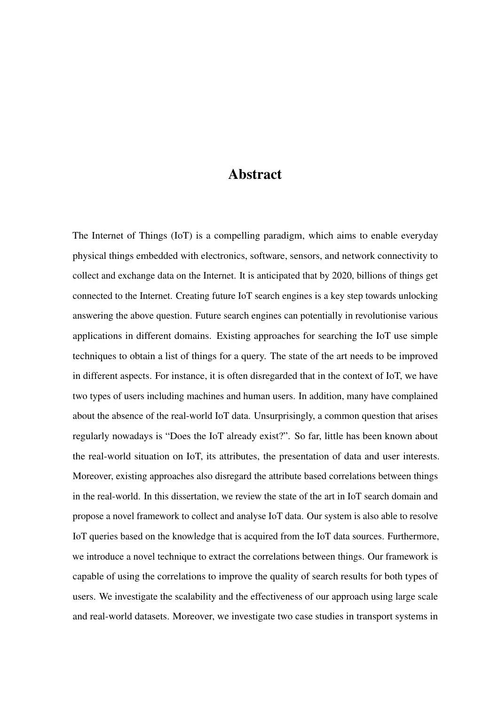#### Abstract

The Internet of Things (IoT) is a compelling paradigm, which aims to enable everyday physical things embedded with electronics, software, sensors, and network connectivity to collect and exchange data on the Internet. It is anticipated that by 2020, billions of things get connected to the Internet. Creating future IoT search engines is a key step towards unlocking answering the above question. Future search engines can potentially in revolutionise various applications in different domains. Existing approaches for searching the IoT use simple techniques to obtain a list of things for a query. The state of the art needs to be improved in different aspects. For instance, it is often disregarded that in the context of IoT, we have two types of users including machines and human users. In addition, many have complained about the absence of the real-world IoT data. Unsurprisingly, a common question that arises regularly nowadays is "Does the IoT already exist?". So far, little has been known about the real-world situation on IoT, its attributes, the presentation of data and user interests. Moreover, existing approaches also disregard the attribute based correlations between things in the real-world. In this dissertation, we review the state of the art in IoT search domain and propose a novel framework to collect and analyse IoT data. Our system is also able to resolve IoT queries based on the knowledge that is acquired from the IoT data sources. Furthermore, we introduce a novel technique to extract the correlations between things. Our framework is capable of using the correlations to improve the quality of search results for both types of users. We investigate the scalability and the effectiveness of our approach using large scale and real-world datasets. Moreover, we investigate two case studies in transport systems in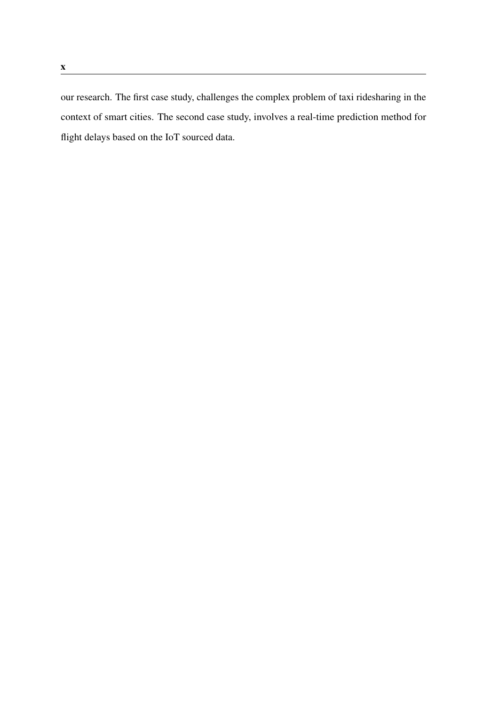our research. The first case study, challenges the complex problem of taxi ridesharing in the context of smart cities. The second case study, involves a real-time prediction method for flight delays based on the IoT sourced data.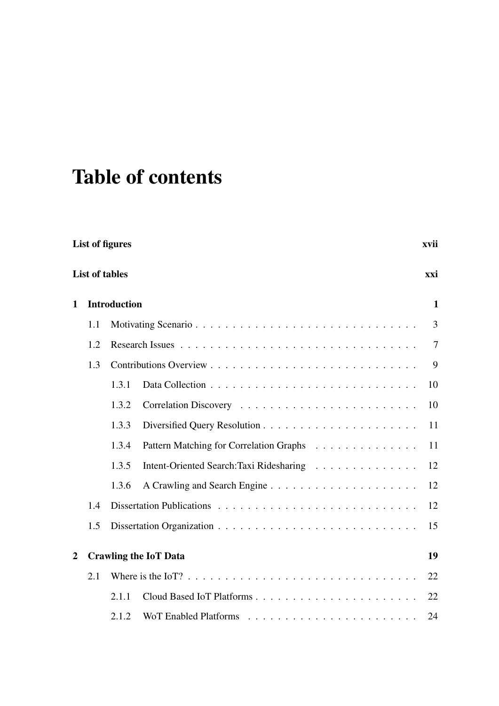# Table of contents

|              | List of figures<br>xvii |                                                         |  |  |
|--------------|-------------------------|---------------------------------------------------------|--|--|
|              |                         | <b>List of tables</b><br>xxi                            |  |  |
| $\mathbf{1}$ |                         | <b>Introduction</b><br>$\mathbf{1}$                     |  |  |
|              | 1.1                     | 3                                                       |  |  |
|              | 1.2                     | 7                                                       |  |  |
|              | 1.3                     | 9                                                       |  |  |
|              |                         | 1.3.1<br>10                                             |  |  |
|              |                         | 1.3.2<br>10                                             |  |  |
|              |                         | 1.3.3<br>11                                             |  |  |
|              |                         | 1.3.4<br>Pattern Matching for Correlation Graphs<br>11  |  |  |
|              |                         | 1.3.5<br>Intent-Oriented Search: Taxi Ridesharing<br>12 |  |  |
|              |                         | 1.3.6<br>12                                             |  |  |
| 1.4          |                         | 12                                                      |  |  |
|              | 1.5                     | 15                                                      |  |  |
| 2            |                         | <b>Crawling the IoT Data</b><br>19                      |  |  |
|              | 2.1                     | 22                                                      |  |  |
|              |                         | 2.1.1<br>22                                             |  |  |
|              |                         | 2.1.2<br>24                                             |  |  |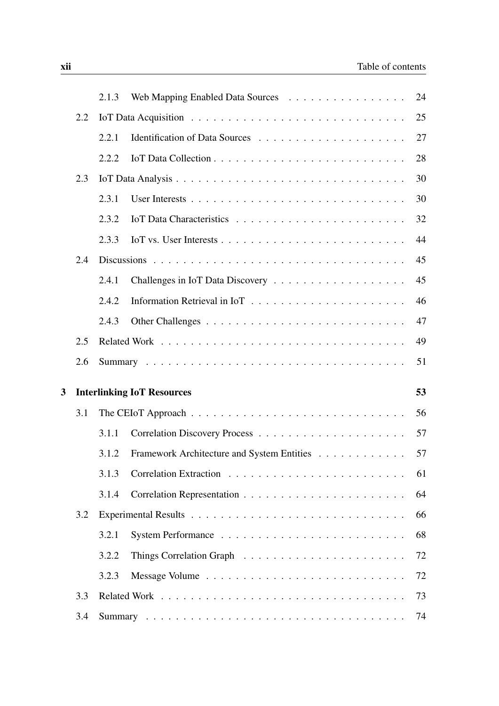|   |     | 2.1.3 | Web Mapping Enabled Data Sources           | 24 |
|---|-----|-------|--------------------------------------------|----|
|   | 2.2 |       |                                            | 25 |
|   |     | 2.2.1 |                                            | 27 |
|   |     | 2.2.2 |                                            | 28 |
|   | 2.3 |       |                                            | 30 |
|   |     | 2.3.1 |                                            | 30 |
|   |     | 2.3.2 |                                            | 32 |
|   |     | 2.3.3 |                                            | 44 |
|   | 2.4 |       |                                            | 45 |
|   |     | 2.4.1 |                                            | 45 |
|   |     | 2.4.2 |                                            | 46 |
|   |     | 2.4.3 |                                            | 47 |
|   | 2.5 |       |                                            | 49 |
|   | 2.6 |       |                                            | 51 |
| 3 |     |       | <b>Interlinking IoT Resources</b>          | 53 |
|   | 3.1 |       |                                            | 56 |
|   |     | 3.1.1 |                                            | 57 |
|   |     | 3.1.2 | Framework Architecture and System Entities | 57 |
|   |     | 3.1.3 |                                            | 61 |
|   |     | 3.1.4 |                                            | 64 |
|   | 3.2 |       |                                            | 66 |
|   |     | 3.2.1 |                                            | 68 |
|   |     |       |                                            |    |
|   |     | 3.2.2 |                                            | 72 |
|   |     | 3.2.3 |                                            | 72 |
|   | 3.3 |       |                                            | 73 |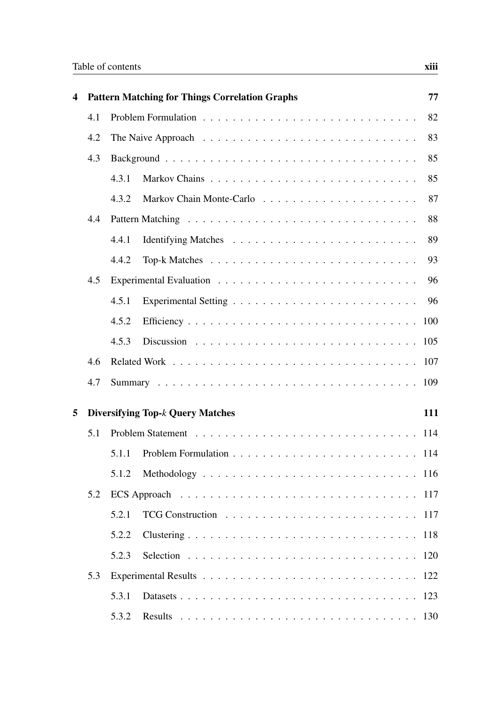| $\overline{\mathbf{4}}$ |     | <b>Pattern Matching for Things Correlation Graphs</b>                               | 77  |  |  |  |
|-------------------------|-----|-------------------------------------------------------------------------------------|-----|--|--|--|
|                         | 4.1 | 82                                                                                  |     |  |  |  |
|                         | 4.2 | The Naive Approach $\ldots \ldots \ldots \ldots \ldots \ldots \ldots \ldots \ldots$ | 83  |  |  |  |
|                         | 4.3 |                                                                                     | 85  |  |  |  |
|                         |     | 4.3.1                                                                               | 85  |  |  |  |
|                         |     | 4.3.2                                                                               | 87  |  |  |  |
|                         | 4.4 |                                                                                     | 88  |  |  |  |
|                         |     | 4.4.1                                                                               | 89  |  |  |  |
|                         |     | 4.4.2                                                                               | 93  |  |  |  |
|                         | 4.5 |                                                                                     | 96  |  |  |  |
|                         |     | 4.5.1                                                                               | 96  |  |  |  |
|                         |     | 4.5.2                                                                               | 100 |  |  |  |
|                         |     | 4.5.3                                                                               |     |  |  |  |
|                         | 4.6 |                                                                                     |     |  |  |  |
|                         | 4.7 |                                                                                     |     |  |  |  |
| 5                       |     | <b>Diversifying Top-</b> <i>k</i> Query Matches                                     | 111 |  |  |  |
|                         | 5.1 |                                                                                     |     |  |  |  |
|                         |     | 5.1.1                                                                               |     |  |  |  |
|                         |     | 5.1.2                                                                               |     |  |  |  |
|                         | 5.2 |                                                                                     |     |  |  |  |
|                         |     | 5.2.1                                                                               |     |  |  |  |
|                         |     | 5.2.2                                                                               |     |  |  |  |
|                         |     | 5.2.3                                                                               |     |  |  |  |
|                         | 5.3 |                                                                                     |     |  |  |  |
|                         |     | 5.3.1                                                                               | 123 |  |  |  |
|                         |     | 5.3.2                                                                               |     |  |  |  |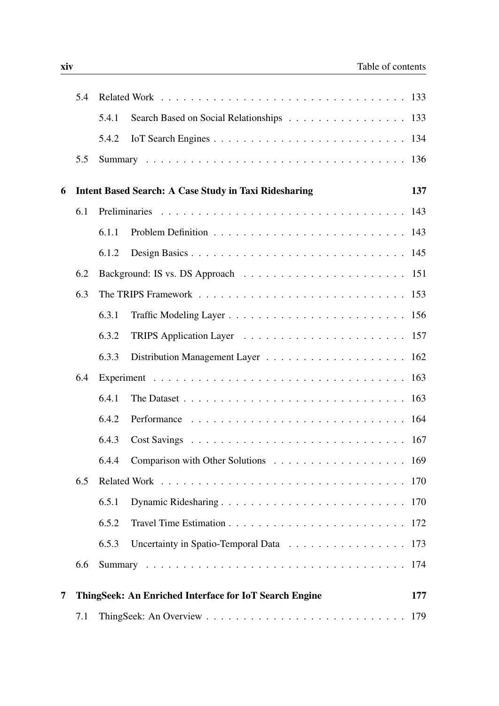|   | 5.4 |       |                                                              |     |
|---|-----|-------|--------------------------------------------------------------|-----|
|   |     | 5.4.1 | Search Based on Social Relationships 133                     |     |
|   |     | 5.4.2 |                                                              |     |
|   | 5.5 |       |                                                              |     |
| 6 |     |       | <b>Intent Based Search: A Case Study in Taxi Ridesharing</b> | 137 |
|   | 6.1 |       |                                                              |     |
|   |     | 6.1.1 |                                                              |     |
|   |     | 6.1.2 |                                                              |     |
|   | 6.2 |       |                                                              |     |
|   | 6.3 |       |                                                              |     |
|   |     | 6.3.1 |                                                              |     |
|   |     | 6.3.2 |                                                              |     |
|   |     | 6.3.3 |                                                              |     |
|   | 6.4 |       |                                                              |     |
|   |     | 6.4.1 |                                                              |     |
|   |     | 6.4.2 |                                                              |     |
|   |     | 6.4.3 |                                                              |     |
|   |     | 6.4.4 |                                                              |     |
|   | 6.5 |       |                                                              |     |
|   |     | 6.5.1 |                                                              |     |
|   |     | 6.5.2 |                                                              |     |
|   |     | 6.5.3 | Uncertainty in Spatio-Temporal Data 173                      |     |
|   | 6.6 |       |                                                              |     |
|   |     |       |                                                              |     |
| 7 |     |       | ThingSeek: An Enriched Interface for IoT Search Engine       | 177 |
|   | 7.1 |       |                                                              | 179 |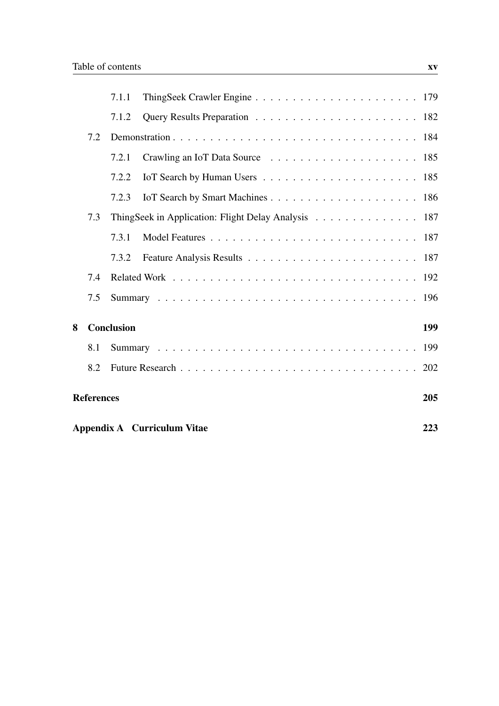|   |                                    | 7.1.1             |                                                     |     |  |  |
|---|------------------------------------|-------------------|-----------------------------------------------------|-----|--|--|
|   |                                    | 7.1.2             |                                                     |     |  |  |
|   | 7.2                                |                   |                                                     |     |  |  |
|   |                                    | 7.2.1             |                                                     |     |  |  |
|   |                                    | 7.2.2             |                                                     |     |  |  |
|   |                                    | 7.2.3             |                                                     |     |  |  |
|   | 7.3                                |                   | ThingSeek in Application: Flight Delay Analysis 187 |     |  |  |
|   |                                    | 7.3.1             |                                                     |     |  |  |
|   |                                    | 7.3.2             |                                                     |     |  |  |
|   | 7.4                                |                   |                                                     |     |  |  |
|   | 7.5                                |                   |                                                     |     |  |  |
| 8 |                                    | <b>Conclusion</b> |                                                     | 199 |  |  |
|   | 8.1                                |                   |                                                     |     |  |  |
|   | 8.2                                |                   |                                                     |     |  |  |
|   |                                    |                   |                                                     |     |  |  |
|   | <b>References</b>                  |                   |                                                     | 205 |  |  |
|   | Appendix A Curriculum Vitae<br>223 |                   |                                                     |     |  |  |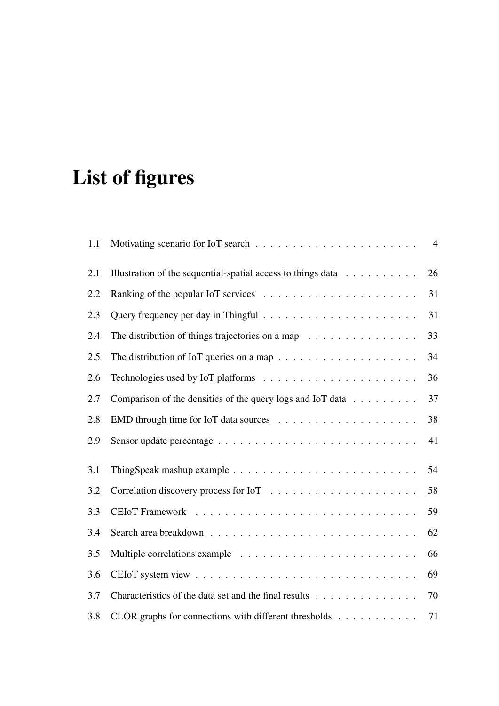# List of figures

| 1.1 |                                                                                       | $\overline{4}$ |
|-----|---------------------------------------------------------------------------------------|----------------|
| 2.1 | Illustration of the sequential-spatial access to things data $\dots \dots \dots$      | 26             |
| 2.2 |                                                                                       | 31             |
| 2.3 |                                                                                       | 31             |
| 2.4 | The distribution of things trajectories on a map $\ldots \ldots \ldots \ldots \ldots$ | 33             |
| 2.5 |                                                                                       | 34             |
| 2.6 |                                                                                       | 36             |
| 2.7 | Comparison of the densities of the query logs and IoT data                            | 37             |
| 2.8 |                                                                                       | 38             |
| 2.9 |                                                                                       | 41             |
| 3.1 |                                                                                       | 54             |
| 3.2 |                                                                                       | 58             |
| 3.3 |                                                                                       | 59             |
| 3.4 |                                                                                       | 62             |
| 3.5 |                                                                                       | 66             |
| 3.6 |                                                                                       | 69             |
| 3.7 | Characteristics of the data set and the final results                                 | 70             |
| 3.8 | CLOR graphs for connections with different thresholds                                 | 71             |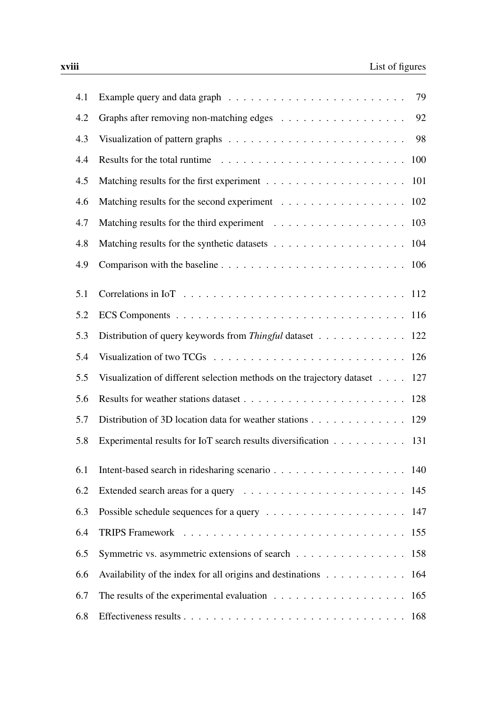| 4.1 | 79                                                                                            |
|-----|-----------------------------------------------------------------------------------------------|
| 4.2 | 92                                                                                            |
| 4.3 | 98                                                                                            |
| 4.4 | 100                                                                                           |
| 4.5 |                                                                                               |
| 4.6 | Matching results for the second experiment 102                                                |
| 4.7 |                                                                                               |
| 4.8 | 104                                                                                           |
| 4.9 |                                                                                               |
| 5.1 |                                                                                               |
| 5.2 |                                                                                               |
| 5.3 | Distribution of query keywords from Thingful dataset 122                                      |
| 5.4 |                                                                                               |
| 5.5 | Visualization of different selection methods on the trajectory dataset 127                    |
| 5.6 |                                                                                               |
| 5.7 | Distribution of 3D location data for weather stations 129                                     |
| 5.8 | Experimental results for IoT search results diversification 131                               |
| 6.1 |                                                                                               |
| 6.2 |                                                                                               |
| 6.3 |                                                                                               |
| 6.4 |                                                                                               |
| 6.5 | Symmetric vs. asymmetric extensions of search 158                                             |
| 6.6 | Availability of the index for all origins and destinations 164                                |
| 6.7 | The results of the experimental evaluation $\dots \dots \dots \dots \dots \dots \dots$<br>165 |
| 6.8 |                                                                                               |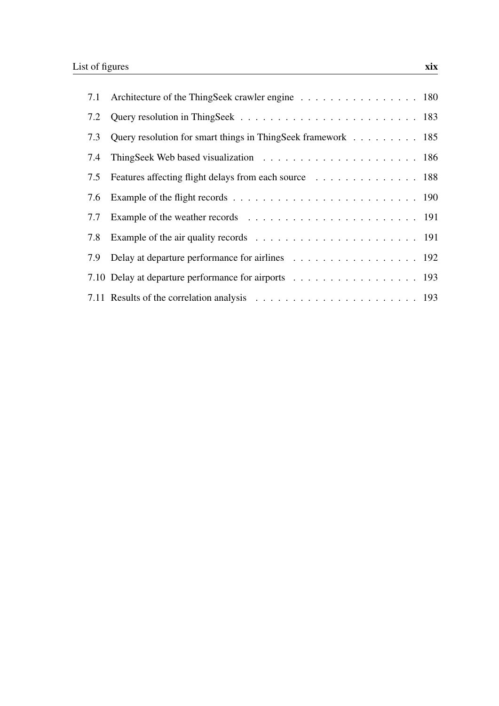|     | 7.1 Architecture of the ThingSeek crawler engine 180         |  |
|-----|--------------------------------------------------------------|--|
|     |                                                              |  |
| 7.3 | Query resolution for smart things in ThingSeek framework 185 |  |
| 7.4 |                                                              |  |
| 7.5 | Features affecting flight delays from each source 188        |  |
|     |                                                              |  |
|     |                                                              |  |
| 7.8 |                                                              |  |
|     | 7.9 Delay at departure performance for airlines 192          |  |
|     | 7.10 Delay at departure performance for airports 193         |  |
|     |                                                              |  |